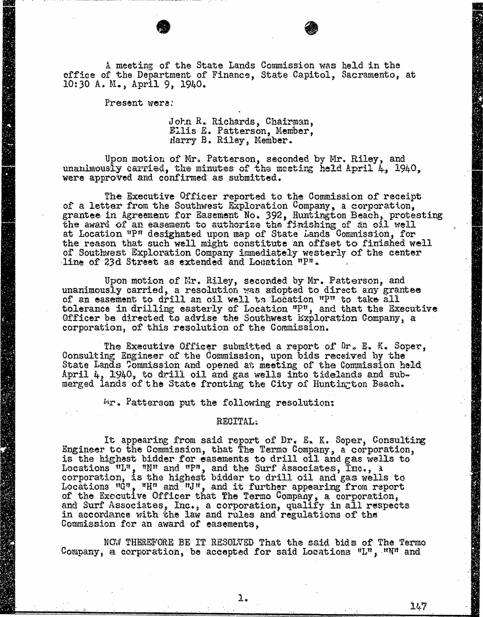A meeting of the State Lands Commission was held in the office of the Department of Finance, State Capitol, Sacramento, at 10:30 A. M., April 9, 1940.

Present were:

John R. Richards, Chairman, Ellis E. Patterson, Member, Harry B. Riley, Member.

Upon motion of Mr. Patterson, seconded by Mr. Riley, and unanimously carried, the minutes of the meeting held April 4, 1940, were approved and confirmed as submitted.

The Executive Officer reported to the Commission of receipt of a letter from the Southwest Exploration Company, a corporation, grantee in Agreement for Easement No. 392, Huntington Beach, protesting<br>the award of an easement to authorize the finishing of an oil well the award of an easement to authorize the finishing of an oil at Location "P" designated upon map of State Lands Commission the reason that such well might constitute an offset to finished well of Southwest Exploration Company immediately westerly of the center line of 23d Street as extended and Location "p".

Upon motion of Mr. Riley, seconded by Mr. Patterson, and<br>unanimously carried, a resolution was adopted to direct any grantee<br>of an easement to drill an oil well to Location "P" to take all of an easement to drill an oil well to Location tolerance in drilling easterly of Location "P", and that the Executive Constant of Executive Constant Constant Officer be directed to advise the Southwest Exploration Company, a corporation, of this resolution of the Commission.

The Executive Officer submitted a report of Dr. E. K. Soper, Consulting Engineer of the Commission, upon bids received by the State Lands Commission and opened at meeting of the Commission held April 4, 1940, to drill oil and gas wells into tidelands and submerged lands of the State fronting the City of Huntington Beach.

Mr. Patterson put the following resolution:

## RECITAL:

It appearing from said report of Dr. E. K. Soper, Consulting Engineer to the Commission, that The Termo Company, a corporation, is the highest bidder for easements to drill oil and gas wells to Locations  ${}^{n}L^{n}$ ,  ${}^{n}N^{n}$  and  ${}^{n}F^{n}$ , and the Surf Associations corporation, is the highest bidder to drill oil and gas well of the gas wells to determine the gas when  $q$ Locations  ${}^{\mathsf{H}}\mathbb{G}^{\mathsf{H}}$ ,  ${}^{\mathsf{H}}\mathsf{H}^{\mathsf{H}}$  and  ${}^{\mathsf{H}}\mathsf{H}^{\mathsf{H}}$ , and it further appearing of the Executive Officer that The Termo Company, a cor and Surf Associates, Inc., a corporation, qualify in all respects to the set of the set of the set of the set of the set of the set of the set of the set of the set of the set of the set of the set of the set of the set of in accordance with the law and rules and regu. Commission for an award of easements,

NOW THEREFORE BE IT RESOLVED That the said bids of The Termo Company, a corporation, be accepted for said Locations  $"L"$ ,  $"N"$  and

l.

147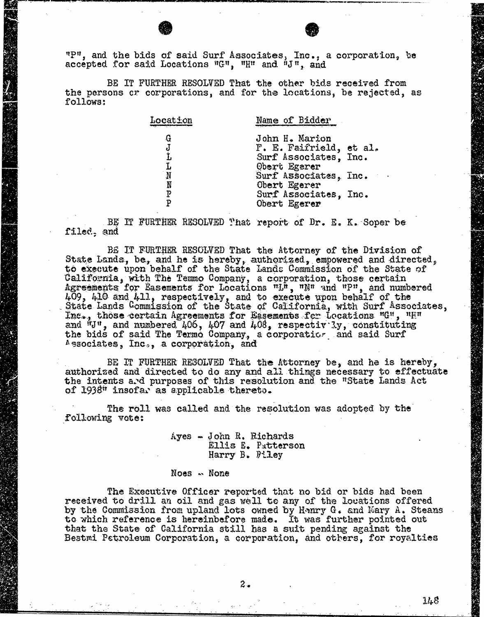"P", and the bids of said Surf Associates, Inc., a corporation, be accepted for said Locations "G", "H" and "J", and

BE IT FURTHER RESOLVED That the other bids received from the persons or corporations, and for the locations, be rejected, as follows:

| Location                        | Name of Bidder          |
|---------------------------------|-------------------------|
| $\bf G$                         | John H. Marion          |
| $\frac{\mathrm{J}}{\mathrm{L}}$ | F. E. Faifrield, et al. |
|                                 | Surf Associates, Inc.   |
| $\frac{L}{N}$                   | Obert Egerer            |
|                                 | Surf Associates, Inc.   |
| Ñ                               | Obert Egerer            |
| P                               | Surf Associates, Inc.   |
| p                               | Obert Egerer            |
|                                 |                         |

BE IT FURTHER RESOLVED That report of Dr. E. K. Soper be filed, and

BE IT FURTHER RESOLVED That the Attorney of the Division of State Lands, be, and he is hereby, authorized, empowered and directed, to execute upon behalf of the State Lands Commission of the State of California, with The Temmo Company, a corporation, those certain Agreements for Easements for Locations "L", "N" and "P", and numbered 409, 410 and 411, respectively, and to execute upon behalf of the State Lands Commission of the State of California, with Surf Associates, Inc., those certain Agreements for Easements for Locations  $^{\text{HCH}}$ ,  $^{\text{HHI}}$ and  $"J"$ , and numbered  $406$ ,  $407$  and  $408$ , respectively, constituting the bids of said The Termo Company, a corporation, and said Associates, Inc., a corporation, and

BE IT FURTHER RESOLVED That the Attorney be, and he is hereby, authorized and directed to do any and all things necessary to effectuate the intents and purposes of this resolution and the "State Lands Act of 1938" insofar as applicable thereto.

The roll was called and the resolution was adopted by the following vote:

Ayes - John R. Richards Ellis E. Patterson Harry B. Piley

Noes . None

The Executive Officer reported that no bid or bids had been received to drill an oil and gas well to any of the locations offered by the Commission from upland lots owned by Hanry G. and Mary A. Steans to which reference is hereinbefore made. It was further pointed out that the State of California still has a suit pending against the Bestmi Petroleum Corporation, a corporation, and others, for royalties

148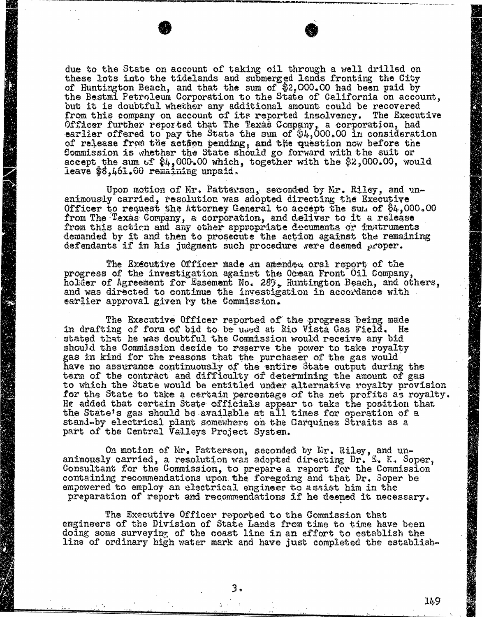due to the State on account of taking oil through a well drilled on these lots into the tidelands and submerged lands fronting the City of Huntington Beach, and that the sum of \$2,000.00 had been paid by the Bestmi Petroleum Corporation to the State of California on account, but it is doubtful whether any additional amount could be recovered from this company on account of its reported insolvency. The Executive Officer further reported that The Texas Company, a corporation, had earlier offered to pay the State the sum of  $$4,000.00$  in consideration of release from the action pending, and the question now before the Commission is whether the State should go forward with the suit or accept the sum of \$4,000.00 which, together with the [\\$2,000.00](https://2,000.00), would leave [\\$8,461.60](https://8,461.60) remaining unpaid.

Upon motion of Mr. Patterson, seconded by Mr. Riley, and un- animously carried, resolution was adopted directing the Executive Officer to request the Attorney General to accept the sum of  $$4,000.00$ from The Texas Company, a corporation, and deliver to it a from this action and any other appropriate documents or instruments demanded by it and then to prosecute the action against the remaining defendants if in his judgment such procedure were deemed proper.

The Executive Officer made an amended oral report of the progress of the investigation against the Ocean Front Oil Company, holder of Agreement for Easement No. 289, Huntington Beach, and others, and was directed to continue the investigation in accordance with earlier approval given by the Commission.

The Executive Officer reported of the progress being made in drafting of form of bid to be used at Rio Vista Gas Field. He stated that he was doubtful the Commission would receive any bid should the Commission decide to reserve the power to take royalty gas in kind for the reasons that the purchaser of the gas would have no assurance continuously of the entire State output during the term of the contract and difficulty of determining the amount of gas to which the State would be entitled under alternative royalty provision for the State to take a certain percentage of the net profit. He added that certain State officials appear to take the position of the position of the position of the position of the position of the contract of the contract of the contract of the contract of the contract of the contr the State's gas should be available at all times for operation of a stand-by electrical plant somewhere on the Carquinez Straits as a part of the Central Valleys Project System.

On motion of Mr. Patterson, seconded by Mr. Riley, and un-<br>animously carried, a resolution was adopted directing Dr. E. K. Soper, Consultant for the Commission, to prepare a report for the Commission containing recommendations upon the foregoing and that Dr. Soper be empowered to employ an electrical engineer to assist him in the preparation of report and recommendations if he deemed it necessary.

The Executive Officer reported to the Commission that engineers of the Division of State Lands from time to time have been doing some surveying of the coast line in an effort to establish the line of ordinary high water mark and have just completed the establish-

149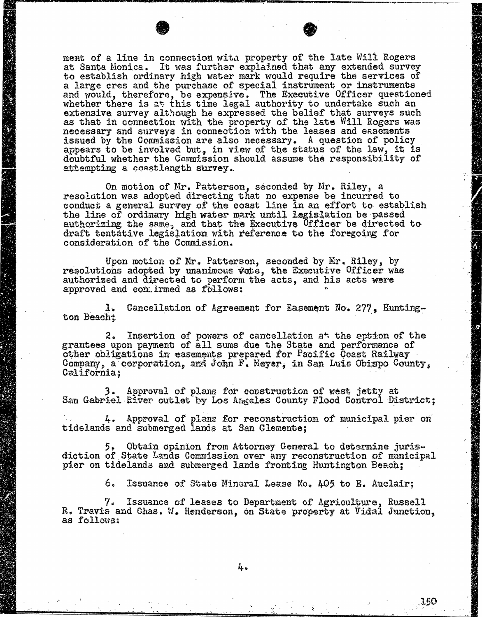ment of a line in connection with property of the late at Santa Monica. It was further explained that any extended survey in the survey of the survey of the survey of the survey of the survey of the survey of the survey of the survey of the survey of the survey of the survey o to establish ordinary high water mark would require the services of<br>a large cres and the purchase of special instrument or instruments a large cres and the purchase of special instrument and would, therefore, be expensive. The Executive Officer question of the state of the state of the state of the whether there is at this time legal authority to u extensive survey although he expressed the belief that surveys such as that in connection with the property of the late Will Rogers was necessary and surveys in connection with the leases and easements issued by the Commission are also necessary. A question appears to be involved but, in view of the status of the law, it is doubtful whether the Commission should assume the responsibility of attempting a coastlength survey.

On motion of Mr. Patterson, seconded by Mr. Riley, a resolation was adopted directing that no expense be incurred to conduct a general survey of the coast line in an effort the line of ordinary high water mark until legislation authorizing the same, and that the Executive Officer be directed to draft tentative legislation with reference to the foregoing for consideration of the Commission.

Upon motion of Mr. Patterson, seconded by Mr. Riley, by resolutions adopted by unanimous vote, the Executive Officer was authorized and directed to perform the acts, and his acts were approved and comirmed as follows:

1. Cancellation of Agreement for Easement No. 277, Hunting-ton Beach;

2. Insertion of powers of cancellation at the option of the grantees upon payment of all sums due the State and performance of other obligations in easements prepared for Pacific Coast Railway Company, a corporation, and John F. Meyer, in San Luis Obispo County, California;

3. Approval of plans for construction of west jetty at San Gabriel River outlet by Los Angeles County Flood Control District;

4. Approval of plans for reconstruction of municipal pier on tidelands and submerged lands at San Clemente;

5. Obtain opinion from Attorney General to determine juris- diction of State Lands Commission over any reconstruction of municipal pier on tidelands and submerged lands fronting Huntington Beach;

6. Issuance of State Mineral Lease No. 405 to E. Auclair;

7. Issuance of leases to Department of Agriculture, Russell R. Travis and Chas. W. Henderson, on State property at Vidal Junction, as follows: